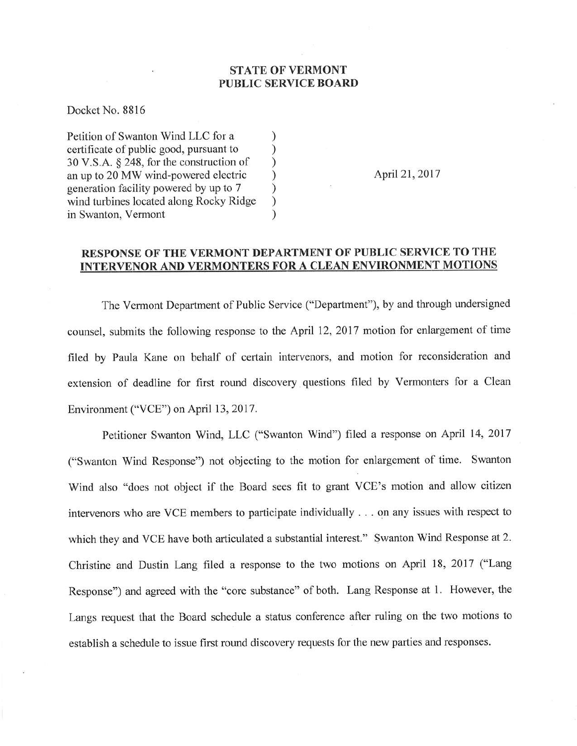## STATE OF VERMONT PUBLIC SERVICE BOARD

Docket No. 8816

Petition of Swanton Wind LLC for a  $\qquad$ ) certificate of public good, pursuant to <br>30 V.S.A. § 248, for the construction of )  $30 \text{ V.S.A. }$  \$ 248, for the construction of  $\qquad$  )<br>an up to 20 MW wind-powered electric  $\qquad$ an up to 20 MW wind-powered electric <br>generation facility powered by up to 7  $\)$ generation facility powered by up to 7 ) wind turbines located along Rocky Ridge ) in Swanton, Vermont

April 21, 2017

## RESPONSE OF THE VERMONT DEPARTMENT OF PUBLIC SERVICE TO THE INTERVENOR AND VERMONTERS FOR A CLEAN ENVIRONME

The Vermont Department of Public Service ("Department"), by and through undersigned counsel, submits the following response to the April 12,2017 motion for enlargement of time filed by Paula Kane on behalf of certain intervenors, and motion for reconsideration and extension of deadline for first round discovery questions filed by Vermonters for a Clean Environment ("VCE") on April 13,2017.

Petitioner Swanton Wind, LLC ("Swanton Wind") filed a response on April 14, 2017 ("Swanton Wind Response") not objecting to the motion for enlargement of time. Swanton Wind also "does not object if the Board sees fit to grant VCE's motion and allow citizen intervenors who are VCE members to participate individually . . . on any issues with respect to which they and VCE have both articulated a substantial interest." Swanton Wind Response at 2. Christine and Dustin Lang filed a response to the two motions on April 18,2017 ("Lang Response") and agreed with the "core substance" of both. Lang Response at l. However, the Langs request that the Board schedule a status conference after ruling on the two motions to establish a schedule to issue first round discovery requests for the new parties and responses.